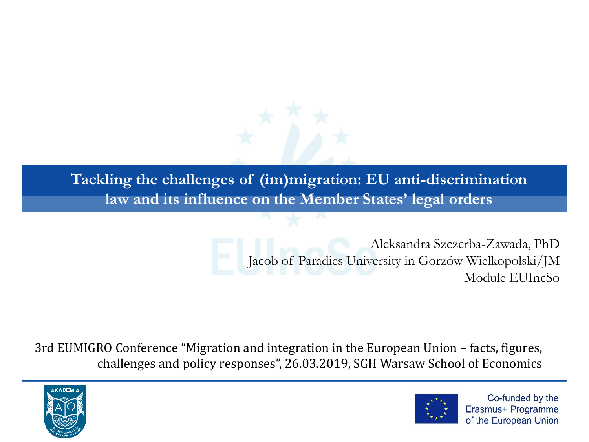**Tackling the challenges of (im)migration: EU anti-discrimination law and its influence on the Member States' legal orders**

> Aleksandra Szczerba-Zawada, PhD Jacob of Paradies University in Gorzów Wielkopolski/JM Module EUIncSo

3rd EUMIGRO Conference "Migration and integration in the European Union – facts, figures, challenges and policy responses", 26.03.2019, SGH Warsaw School of Economics



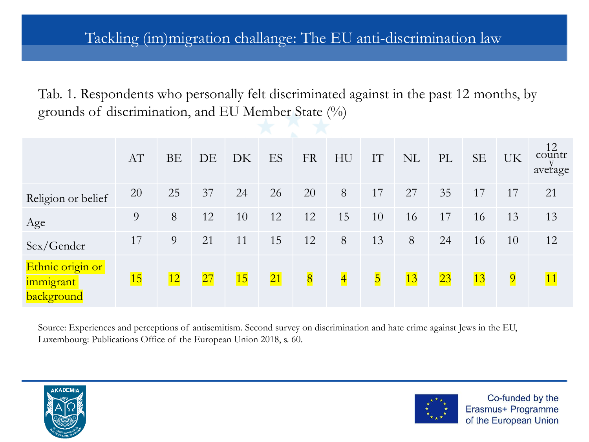Tab. 1. Respondents who personally felt discriminated against in the past 12 months, by grounds of discrimination, and EU Member State (%)

|                                             | AT | <b>BE</b> | DE | DK | ES              | <b>FR</b>      | HU             | IT                      | <b>NL</b> | PL | <b>SE</b> | UK             | 12<br>countr<br>average |
|---------------------------------------------|----|-----------|----|----|-----------------|----------------|----------------|-------------------------|-----------|----|-----------|----------------|-------------------------|
| Religion or belief                          | 20 | 25        | 37 | 24 | 26              | 20             | 8              | 17                      | 27        | 35 | 17        | 17             | 21                      |
| Age                                         | 9  | 8         | 12 | 10 | 12              | 12             | 15             | 10                      | 16        | 17 | 16        | 13             | 13                      |
| Sex/Gender                                  | 17 | 9         | 21 | 11 | 15              | 12             | 8              | 13                      | 8         | 24 | 16        | 10             | 12                      |
| Ethnic origin or<br>immigrant<br>background | 15 | 12        | 27 | 15 | $\overline{21}$ | $\overline{8}$ | $\overline{4}$ | $\overline{\mathbf{5}}$ | 13        | 23 | 13        | $\overline{9}$ | 11                      |

Source: Experiences and perceptions of antisemitism. Second survey on discrimination and hate crime against Jews in the EU, Luxembourg: Publications Office of the European Union 2018, s. 60.



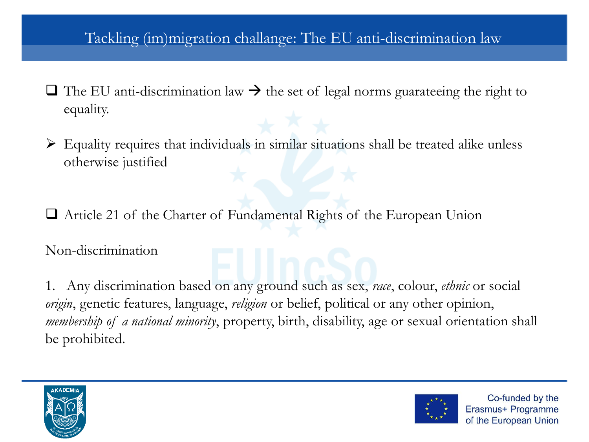- $\Box$  The EU anti-discrimination law  $\rightarrow$  the set of legal norms guarateeing the right to equality.
- $\triangleright$  Equality requires that individuals in similar situations shall be treated alike unless otherwise justified

❑ Article 21 of the Charter of Fundamental Rights of the European Union

Non-discrimination

1. Any discrimination based on any ground such as sex, *race*, colour, *ethnic* or social *origin*, genetic features, language, *religion* or belief, political or any other opinion, *membership of a national minority*, property, birth, disability, age or sexual orientation shall be prohibited.



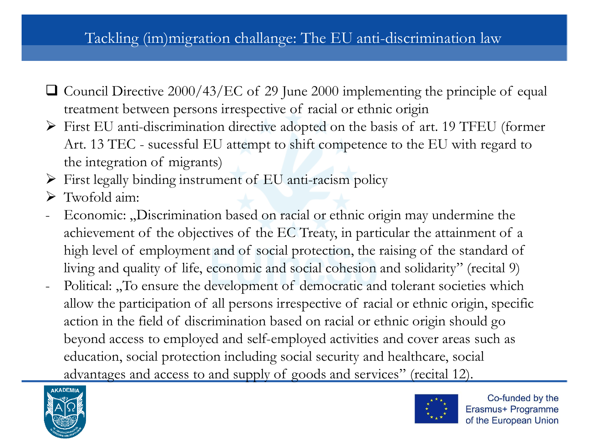- ❑ Council Directive 2000/43/EC of 29 June 2000 implementing the principle of equal treatment between persons irrespective of racial or ethnic origin
- ➢ First EU anti-discrimination directive adopted on the basis of art. 19 TFEU (former Art. 13 TEC - sucessful EU attempt to shift competence to the EU with regard to the integration of migrants)
- ➢ First legally binding instrument of EU anti-racism policy
- $\triangleright$  Twofold aim:
- Economic: "Discrimination based on racial or ethnic origin may undermine the achievement of the objectives of the EC Treaty, in particular the attainment of a high level of employment and of social protection, the raising of the standard of living and quality of life, economic and social cohesion and solidarity" (recital 9)
- Political: "To ensure the development of democratic and tolerant societies which allow the participation of all persons irrespective of racial or ethnic origin, specific action in the field of discrimination based on racial or ethnic origin should go beyond access to employed and self-employed activities and cover areas such as education, social protection including social security and healthcare, social advantages and access to and supply of goods and services" (recital 12).



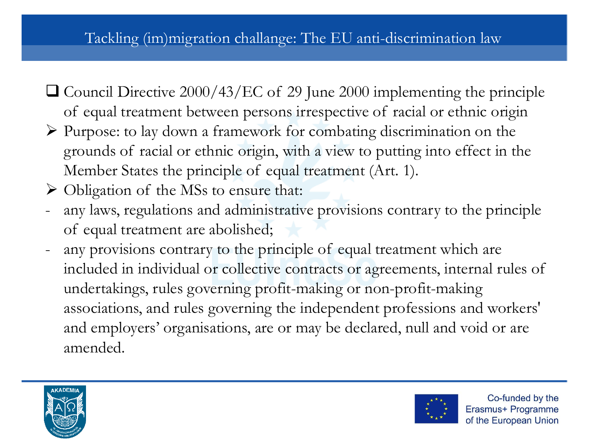- ❑ Council Directive 2000/43/EC of 29 June 2000 implementing the principle of equal treatment between persons irrespective of racial or ethnic origin
- ➢ Purpose: to lay down a framework for combating discrimination on the grounds of racial or ethnic origin, with a view to putting into effect in the Member States the principle of equal treatment (Art. 1).
- ➢ Obligation of the MSs to ensure that:
- any laws, regulations and administrative provisions contrary to the principle of equal treatment are abolished;
- any provisions contrary to the principle of equal treatment which are included in individual or collective contracts or agreements, internal rules of undertakings, rules governing profit-making or non-profit-making associations, and rules governing the independent professions and workers' and employers' organisations, are or may be declared, null and void or are amended.



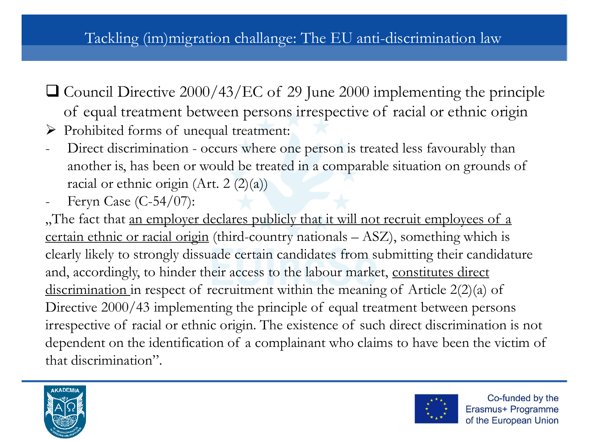- ❑ Council Directive 2000/43/EC of 29 June 2000 implementing the principle of equal treatment between persons irrespective of racial or ethnic origin
- ➢ Prohibited forms of unequal treatment:
- Direct discrimination occurs where one person is treated less favourably than another is, has been or would be treated in a comparable situation on grounds of racial or ethnic origin (Art. 2 $(2)(a)$ )
- Feryn Case (C-54/07):

"The fact that an employer declares publicly that it will not recruit employees of a certain ethnic or racial origin (third-country nationals – ASZ), something which is clearly likely to strongly dissuade certain candidates from submitting their candidature and, accordingly, to hinder their access to the labour market, constitutes direct discrimination in respect of recruitment within the meaning of Article 2(2)(a) of Directive 2000/43 implementing the principle of equal treatment between persons irrespective of racial or ethnic origin. The existence of such direct discrimination is not dependent on the identification of a complainant who claims to have been the victim of that discrimination".



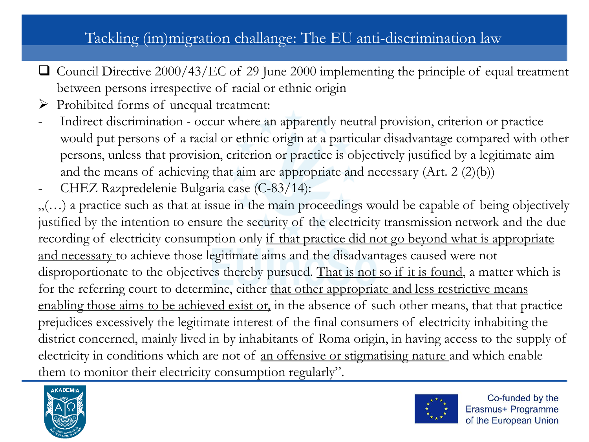- ❑ Council Directive 2000/43/EC of 29 June 2000 implementing the principle of equal treatment between persons irrespective of racial or ethnic origin
- ➢ Prohibited forms of unequal treatment:
- Indirect discrimination occur where an apparently neutral provision, criterion or practice would put persons of a racial or ethnic origin at a particular disadvantage compared with other persons, unless that provision, criterion or practice is objectively justified by a legitimate aim and the means of achieving that aim are appropriate and necessary (Art. 2 (2)(b))
- CHEZ Razpredelenie Bulgaria case (C-83/14):

 $\ldots$ ) a practice such as that at issue in the main proceedings would be capable of being objectively justified by the intention to ensure the security of the electricity transmission network and the due recording of electricity consumption only if that practice did not go beyond what is appropriate and necessary to achieve those legitimate aims and the disadvantages caused were not disproportionate to the objectives thereby pursued. That is not so if it is found, a matter which is for the referring court to determine, either that other appropriate and less restrictive means enabling those aims to be achieved exist or, in the absence of such other means, that that practice prejudices excessively the legitimate interest of the final consumers of electricity inhabiting the district concerned, mainly lived in by inhabitants of Roma origin, in having access to the supply of electricity in conditions which are not of an offensive or stigmatising nature and which enable them to monitor their electricity consumption regularly".



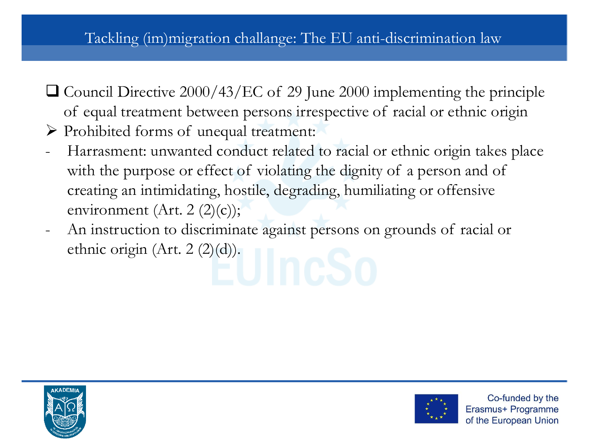- ❑ Council Directive 2000/43/EC of 29 June 2000 implementing the principle of equal treatment between persons irrespective of racial or ethnic origin
- ➢ Prohibited forms of unequal treatment:
- Harrasment: unwanted conduct related to racial or ethnic origin takes place with the purpose or effect of violating the dignity of a person and of creating an intimidating, hostile, degrading, humiliating or offensive environment (Art. 2  $(2)(c)$ );
- An instruction to discriminate against persons on grounds of racial or ethnic origin (Art. 2 (2)(d)).



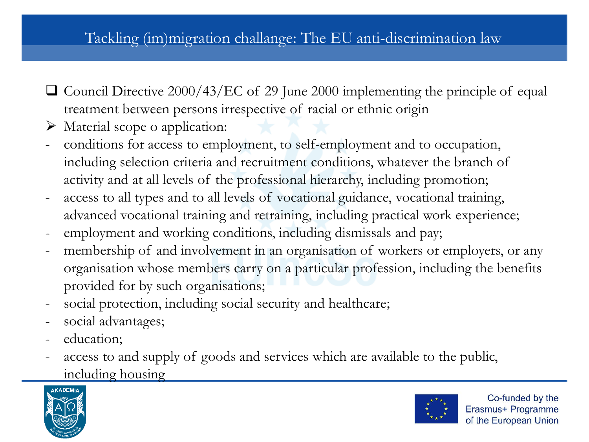- ❑ Council Directive 2000/43/EC of 29 June 2000 implementing the principle of equal treatment between persons irrespective of racial or ethnic origin
- ➢ Material scope o application:
- conditions for access to employment, to self-employment and to occupation, including selection criteria and recruitment conditions, whatever the branch of activity and at all levels of the professional hierarchy, including promotion;
- access to all types and to all levels of vocational guidance, vocational training, advanced vocational training and retraining, including practical work experience;
- employment and working conditions, including dismissals and pay;
- membership of and involvement in an organisation of workers or employers, or any organisation whose members carry on a particular profession, including the benefits provided for by such organisations;
- social protection, including social security and healthcare;
- social advantages;
- education;
- access to and supply of goods and services which are available to the public, including housing



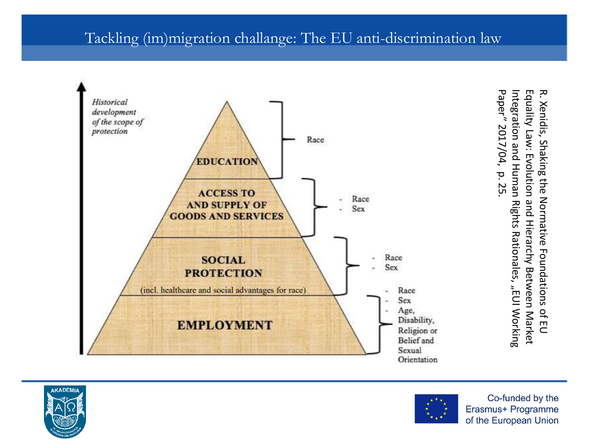

Paper" 2017/04, p. 25 Paper" 2017/04, Integration and Human Rights Rationales Equality Law: Evolution and Hierarchy Between Market Equality Law: Evolution and Hierarchy Between Market R. Xeridis, Shaking the Notmative Foundations of FD. R. Xenidis, Shaking the Normative Foundations of EU .<br>EUI Working



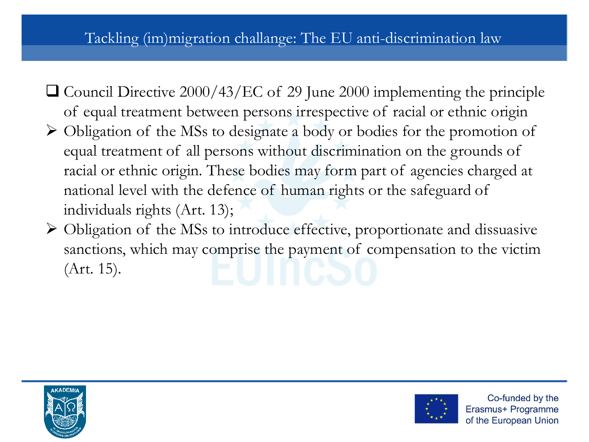- ❑ Council Directive 2000/43/EC of 29 June 2000 implementing the principle of equal treatment between persons irrespective of racial or ethnic origin
- ➢ Obligation of the MSs to designate a body or bodies for the promotion of equal treatment of all persons without discrimination on the grounds of racial or ethnic origin. These bodies may form part of agencies charged at national level with the defence of human rights or the safeguard of individuals rights (Art. 13);
- ➢ Obligation of the MSs to introduce effective, proportionate and dissuasive sanctions, which may comprise the payment of compensation to the victim (Art. 15).



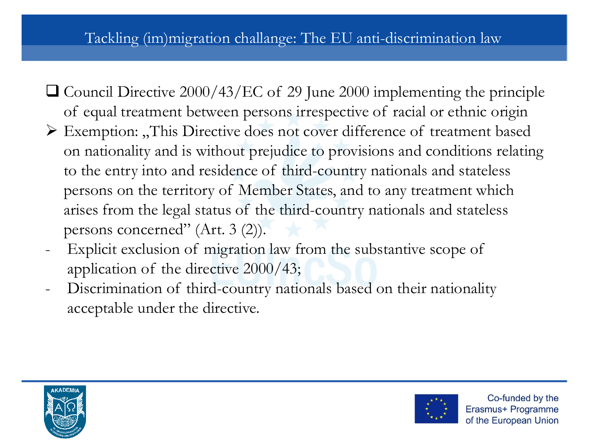- ❑ Council Directive 2000/43/EC of 29 June 2000 implementing the principle of equal treatment between persons irrespective of racial or ethnic origin
- $\triangleright$  Exemption: "This Directive does not cover difference of treatment based on nationality and is without prejudice to provisions and conditions relating to the entry into and residence of third-country nationals and stateless persons on the territory of Member States, and to any treatment which arises from the legal status of the third-country nationals and stateless persons concerned" (Art. 3 (2)).
- Explicit exclusion of migration law from the substantive scope of application of the directive 2000/43;
- Discrimination of third-country nationals based on their nationality acceptable under the directive.



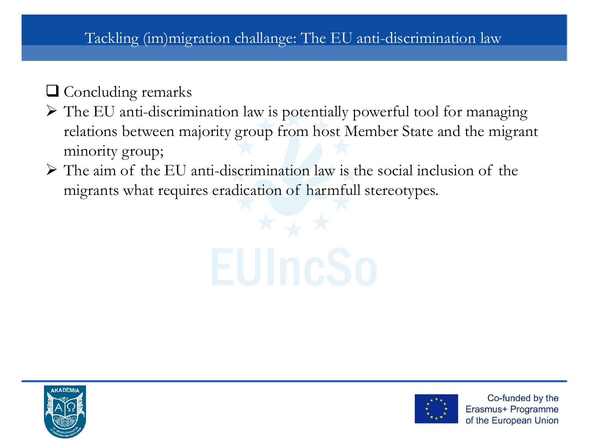## ❑ Concluding remarks

- ➢ The EU anti-discrimination law is potentially powerful tool for managing relations between majority group from host Member State and the migrant minority group;
- $\triangleright$  The aim of the EU anti-discrimination law is the social inclusion of the migrants what requires eradication of harmfull stereotypes.





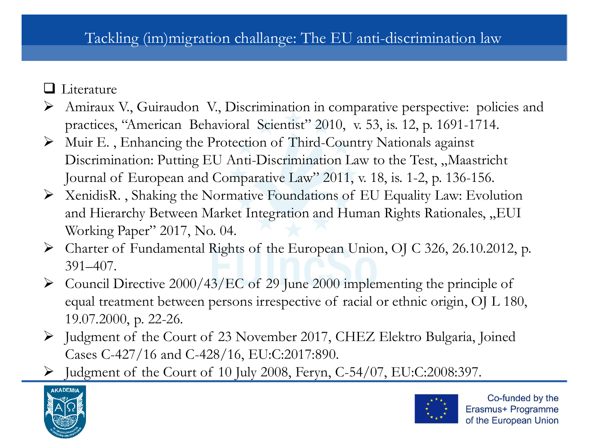- ❑ Literature
- ➢ Amiraux V., Guiraudon V., Discrimination in comparative perspective: policies and practices, "American Behavioral Scientist" 2010, v. 53, is. 12, p. 1691-1714.
- ➢ Muir E. , Enhancing the Protection of Third-Country Nationals against Discrimination: Putting EU Anti-Discrimination Law to the Test, "Maastricht Journal of European and Comparative Law" 2011, v. 18, is. 1-2, p. 136-156.
- ➢ XenidisR. , Shaking the Normative Foundations of EU Equality Law: Evolution and Hierarchy Between Market Integration and Human Rights Rationales, "EUI Working Paper" 2017, No. 04.
- ➢ Charter of Fundamental Rights of the European Union, OJ C 326, 26.10.2012, p. 391–407.
- $\triangleright$  Council Directive 2000/43/EC of 29 June 2000 implementing the principle of equal treatment between persons irrespective of racial or ethnic origin, OJ L 180, 19.07.2000, p. 22-26.
- ➢ Judgment of the Court of 23 November 2017, CHEZ Elektro Bulgaria, Joined Cases C-427/16 and C-428/16, EU:C:2017:890.
- $\blacktriangleright$  Judgment of the Court of 10 July 2008, Feryn, C-54/07, EU:C:2008:397.